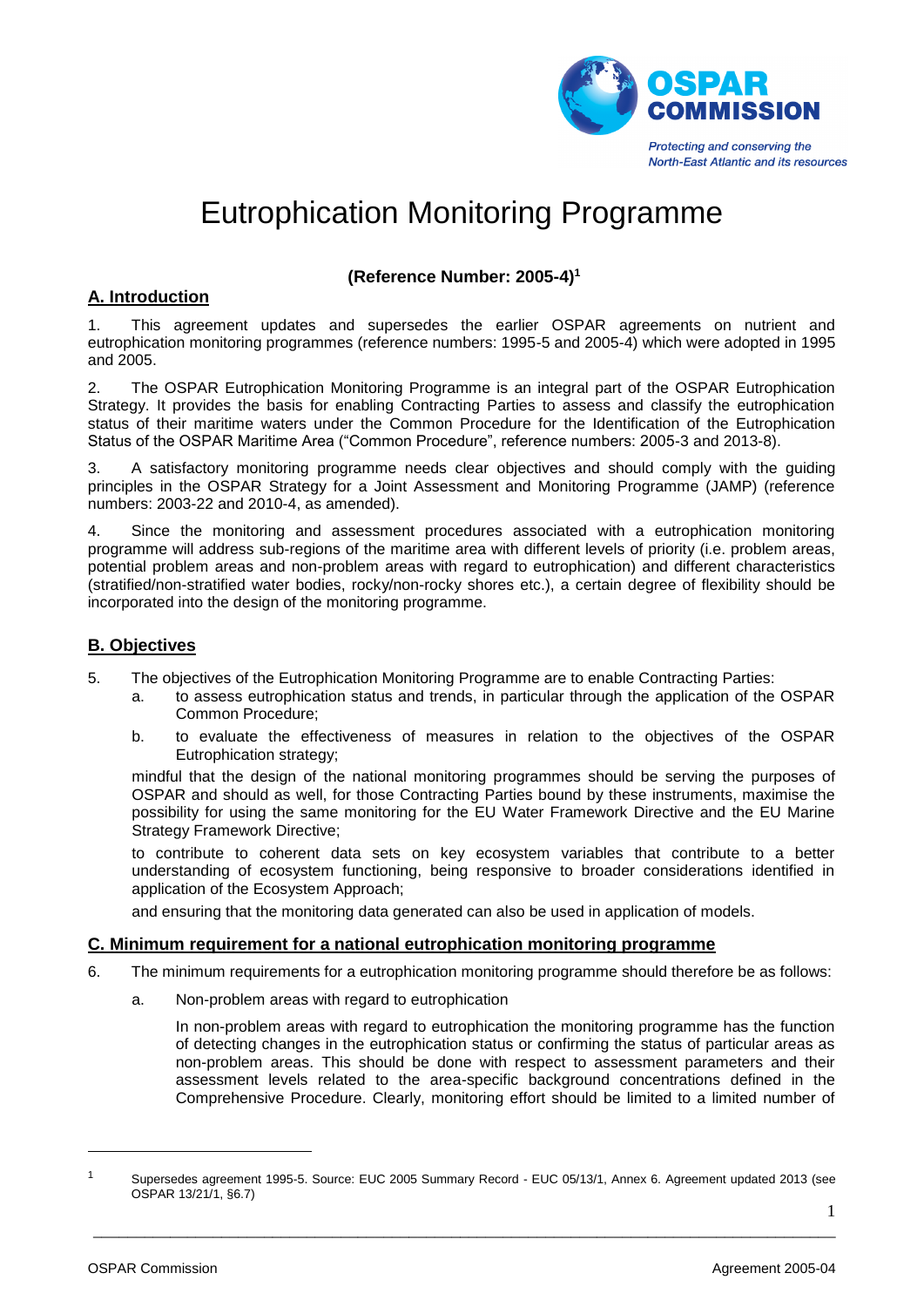

# Eutrophication Monitoring Programme

# **(Reference Number: 2005-4)<sup>1</sup>**

### **A. Introduction**

1. This agreement updates and supersedes the earlier OSPAR agreements on nutrient and eutrophication monitoring programmes (reference numbers: 1995-5 and 2005-4) which were adopted in 1995 and 2005.

2. The OSPAR Eutrophication Monitoring Programme is an integral part of the OSPAR Eutrophication Strategy. It provides the basis for enabling Contracting Parties to assess and classify the eutrophication status of their maritime waters under the Common Procedure for the Identification of the Eutrophication Status of the OSPAR Maritime Area ("Common Procedure", reference numbers: 2005-3 and 2013-8).

3. A satisfactory monitoring programme needs clear objectives and should comply with the guiding principles in the OSPAR Strategy for a Joint Assessment and Monitoring Programme (JAMP) (reference numbers: 2003-22 and 2010-4, as amended).

4. Since the monitoring and assessment procedures associated with a eutrophication monitoring programme will address sub-regions of the maritime area with different levels of priority (i.e. problem areas, potential problem areas and non-problem areas with regard to eutrophication) and different characteristics (stratified/non-stratified water bodies, rocky/non-rocky shores etc.), a certain degree of flexibility should be incorporated into the design of the monitoring programme.

# **B. Objectives**

- 5. The objectives of the Eutrophication Monitoring Programme are to enable Contracting Parties:
	- a. to assess eutrophication status and trends, in particular through the application of the OSPAR Common Procedure;
	- b. to evaluate the effectiveness of measures in relation to the objectives of the OSPAR Eutrophication strategy;

mindful that the design of the national monitoring programmes should be serving the purposes of OSPAR and should as well, for those Contracting Parties bound by these instruments, maximise the possibility for using the same monitoring for the EU Water Framework Directive and the EU Marine Strategy Framework Directive;

to contribute to coherent data sets on key ecosystem variables that contribute to a better understanding of ecosystem functioning, being responsive to broader considerations identified in application of the Ecosystem Approach;

and ensuring that the monitoring data generated can also be used in application of models.

#### **C. Minimum requirement for a national eutrophication monitoring programme**

- 6. The minimum requirements for a eutrophication monitoring programme should therefore be as follows:
	- a. Non-problem areas with regard to eutrophication

In non-problem areas with regard to eutrophication the monitoring programme has the function of detecting changes in the eutrophication status or confirming the status of particular areas as non-problem areas. This should be done with respect to assessment parameters and their assessment levels related to the area-specific background concentrations defined in the Comprehensive Procedure. Clearly, monitoring effort should be limited to a limited number of

\_\_\_\_\_\_\_\_\_\_\_\_\_\_\_\_\_\_\_\_\_\_\_\_\_\_\_\_\_\_\_\_\_\_\_\_\_\_\_\_\_\_\_\_\_\_\_\_\_\_\_\_\_\_\_\_\_\_\_\_\_\_\_\_\_\_\_\_\_\_\_\_\_\_\_\_\_\_\_\_\_\_\_\_\_\_\_

-

<sup>1</sup> Supersedes agreement 1995-5. Source: EUC 2005 Summary Record - EUC 05/13/1, Annex 6. Agreement updated 2013 (see OSPAR 13/21/1, §6.7)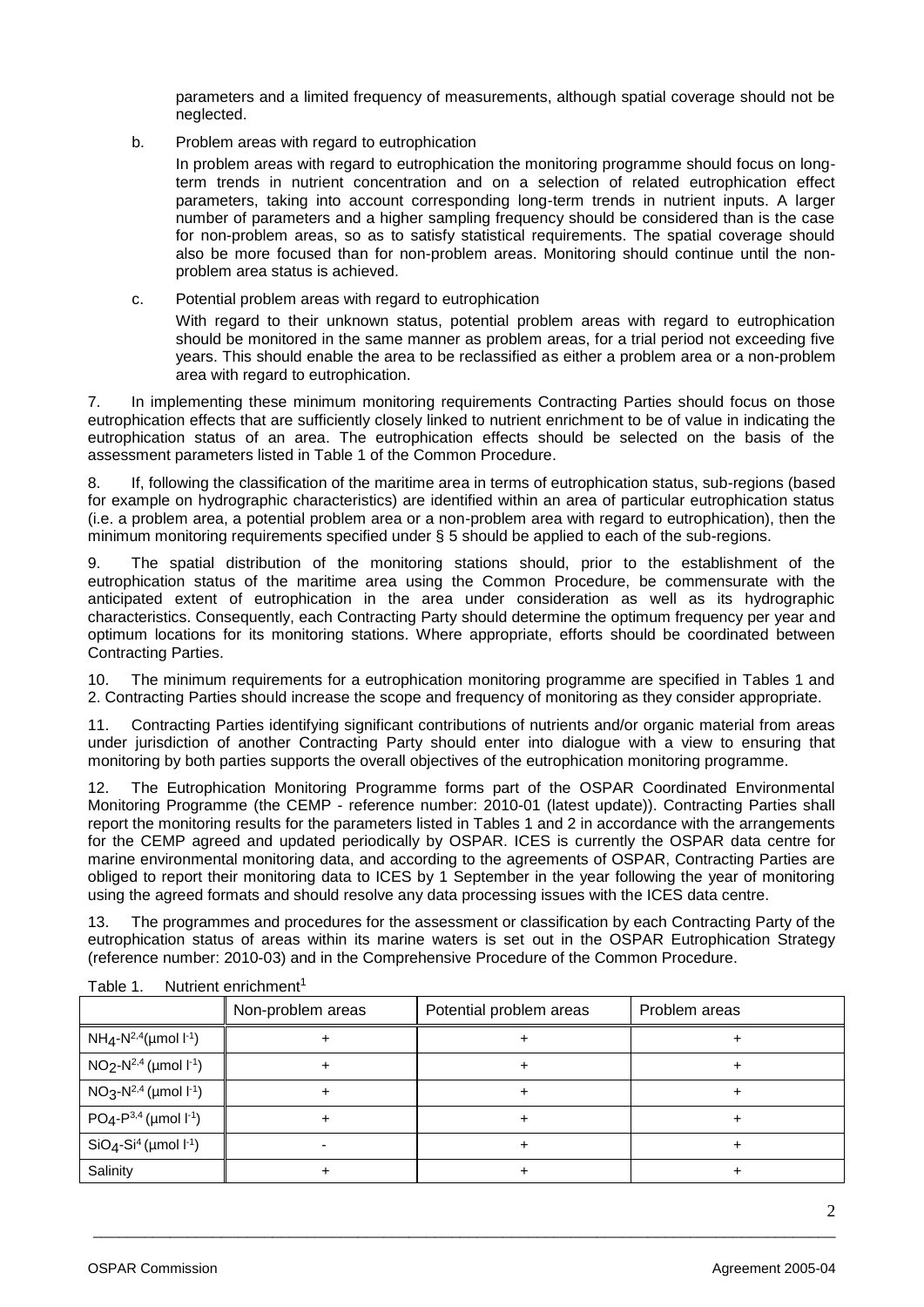parameters and a limited frequency of measurements, although spatial coverage should not be neglected.

b. Problem areas with regard to eutrophication

In problem areas with regard to eutrophication the monitoring programme should focus on longterm trends in nutrient concentration and on a selection of related eutrophication effect parameters, taking into account corresponding long-term trends in nutrient inputs. A larger number of parameters and a higher sampling frequency should be considered than is the case for non-problem areas, so as to satisfy statistical requirements. The spatial coverage should also be more focused than for non-problem areas. Monitoring should continue until the nonproblem area status is achieved.

c. Potential problem areas with regard to eutrophication

With regard to their unknown status, potential problem areas with regard to eutrophication should be monitored in the same manner as problem areas, for a trial period not exceeding five years. This should enable the area to be reclassified as either a problem area or a non-problem area with regard to eutrophication.

7. In implementing these minimum monitoring requirements Contracting Parties should focus on those eutrophication effects that are sufficiently closely linked to nutrient enrichment to be of value in indicating the eutrophication status of an area. The eutrophication effects should be selected on the basis of the assessment parameters listed in Table 1 of the Common Procedure.

8. If, following the classification of the maritime area in terms of eutrophication status, sub-regions (based for example on hydrographic characteristics) are identified within an area of particular eutrophication status (i.e. a problem area, a potential problem area or a non-problem area with regard to eutrophication), then the minimum monitoring requirements specified under § 5 should be applied to each of the sub-regions.

9. The spatial distribution of the monitoring stations should, prior to the establishment of the eutrophication status of the maritime area using the Common Procedure, be commensurate with the anticipated extent of eutrophication in the area under consideration as well as its hydrographic characteristics. Consequently, each Contracting Party should determine the optimum frequency per year and optimum locations for its monitoring stations. Where appropriate, efforts should be coordinated between Contracting Parties.

10. The minimum requirements for a eutrophication monitoring programme are specified in Tables 1 and 2. Contracting Parties should increase the scope and frequency of monitoring as they consider appropriate.

11. Contracting Parties identifying significant contributions of nutrients and/or organic material from areas under jurisdiction of another Contracting Party should enter into dialogue with a view to ensuring that monitoring by both parties supports the overall objectives of the eutrophication monitoring programme.

The Eutrophication Monitoring Programme forms part of the OSPAR Coordinated Environmental Monitoring Programme (the CEMP - reference number: 2010-01 (latest update)). Contracting Parties shall report the monitoring results for the parameters listed in Tables 1 and 2 in accordance with the arrangements for the CEMP agreed and updated periodically by OSPAR. ICES is currently the OSPAR data centre for marine environmental monitoring data, and according to the agreements of OSPAR, Contracting Parties are obliged to report their monitoring data to ICES by 1 September in the year following the year of monitoring using the agreed formats and should resolve any data processing issues with the ICES data centre.

13. The programmes and procedures for the assessment or classification by each Contracting Party of the eutrophication status of areas within its marine waters is set out in the OSPAR Eutrophication Strategy (reference number: 2010-03) and in the Comprehensive Procedure of the Common Procedure.

|                                 | Non-problem areas | Potential problem areas | Problem areas |
|---------------------------------|-------------------|-------------------------|---------------|
| $NH_4-N^{2,4}$ (µmol $l^{-1}$ ) |                   |                         |               |
| $NO2-N2,4$ (µmol $I-1$ )        |                   |                         |               |
| $NO3-N2,4$ (µmol $I-1$ )        |                   |                         |               |
| $PO4-P3,4$ (µmol $I-1$ )        |                   |                         |               |
| $SiO4-Si4$ (µmol $I-1$ )        |                   |                         |               |
| Salinity                        |                   |                         |               |

\_\_\_\_\_\_\_\_\_\_\_\_\_\_\_\_\_\_\_\_\_\_\_\_\_\_\_\_\_\_\_\_\_\_\_\_\_\_\_\_\_\_\_\_\_\_\_\_\_\_\_\_\_\_\_\_\_\_\_\_\_\_\_\_\_\_\_\_\_\_\_\_\_\_\_\_\_\_\_\_\_\_\_\_\_\_\_

Table 1. Nutrient enrichment<sup>1</sup>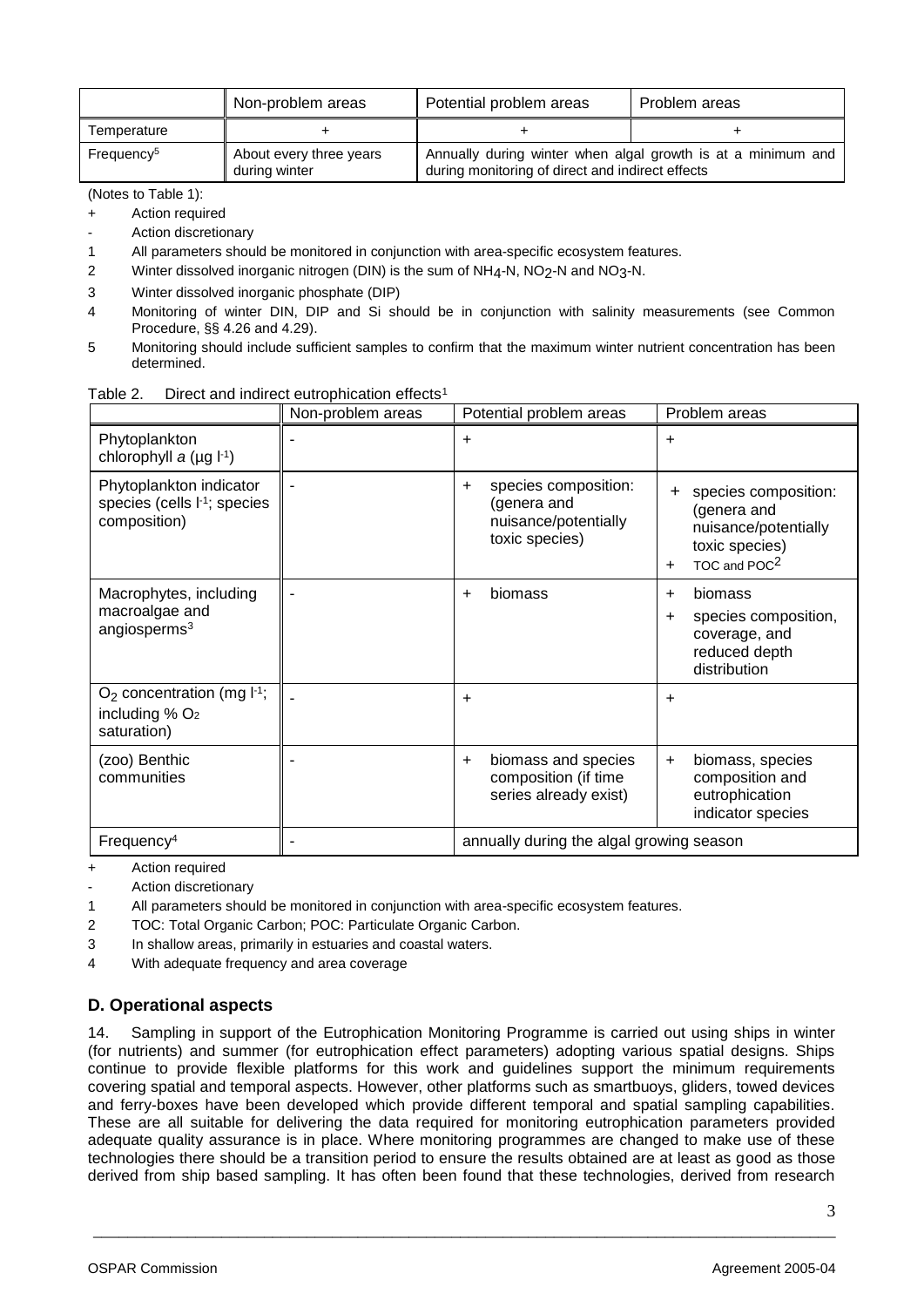|                        | Non-problem areas                        | Potential problem areas                                                                                          | Problem areas |
|------------------------|------------------------------------------|------------------------------------------------------------------------------------------------------------------|---------------|
| Temperature            |                                          |                                                                                                                  |               |
| Frequency <sup>5</sup> | About every three years<br>during winter | Annually during winter when algal growth is at a minimum and<br>during monitoring of direct and indirect effects |               |

(Notes to Table 1):

- + Action required
- Action discretionary
- 1 All parameters should be monitored in conjunction with area-specific ecosystem features.
- 2 Winter dissolved inorganic nitrogen (DIN) is the sum of  $NH_4$ -N,  $NO_2$ -N and  $NO_3$ -N.
- 3 Winter dissolved inorganic phosphate (DIP)
- 4 Monitoring of winter DIN, DIP and Si should be in conjunction with salinity measurements (see Common Procedure, §§ 4.26 and 4.29).
- 5 Monitoring should include sufficient samples to confirm that the maximum winter nutrient concentration has been determined.

|                                                                                     | Non-problem areas | Potential problem areas                                                                    | Problem areas                                                                                                                   |
|-------------------------------------------------------------------------------------|-------------------|--------------------------------------------------------------------------------------------|---------------------------------------------------------------------------------------------------------------------------------|
| Phytoplankton<br>chlorophyll $a$ (µg $I^{-1}$ )                                     |                   | ÷                                                                                          | $\ddot{}$                                                                                                                       |
| Phytoplankton indicator<br>species (cells l <sup>-1</sup> ; species<br>composition) |                   | species composition:<br>$\ddot{}$<br>(genera and<br>nuisance/potentially<br>toxic species) | species composition:<br>$\pm$<br>(genera and<br>nuisance/potentially<br>toxic species)<br>TOC and POC <sup>2</sup><br>$\ddot{}$ |
| Macrophytes, including<br>macroalgae and<br>angiosperms $3$                         |                   | biomass<br>$\ddot{}$                                                                       | biomass<br>$\ddot{}$<br>species composition,<br>$\ddot{}$<br>coverage, and<br>reduced depth<br>distribution                     |
| $O2$ concentration (mg $I-1$ ;<br>including $% O2$<br>saturation)                   |                   | $\ddot{}$                                                                                  | $\ddot{}$                                                                                                                       |
| (zoo) Benthic<br>communities                                                        |                   | biomass and species<br>$+$<br>composition (if time<br>series already exist)                | biomass, species<br>$+$<br>composition and<br>eutrophication<br>indicator species                                               |
| Frequency <sup>4</sup>                                                              |                   | annually during the algal growing season                                                   |                                                                                                                                 |

+ Action required

Action discretionary

- 1 All parameters should be monitored in conjunction with area-specific ecosystem features.
- 2 TOC: Total Organic Carbon; POC: Particulate Organic Carbon.
- 3 In shallow areas, primarily in estuaries and coastal waters.
- 4 With adequate frequency and area coverage

# **D. Operational aspects**

14. Sampling in support of the Eutrophication Monitoring Programme is carried out using ships in winter (for nutrients) and summer (for eutrophication effect parameters) adopting various spatial designs. Ships continue to provide flexible platforms for this work and guidelines support the minimum requirements covering spatial and temporal aspects. However, other platforms such as smartbuoys, gliders, towed devices and ferry-boxes have been developed which provide different temporal and spatial sampling capabilities. These are all suitable for delivering the data required for monitoring eutrophication parameters provided adequate quality assurance is in place. Where monitoring programmes are changed to make use of these technologies there should be a transition period to ensure the results obtained are at least as good as those derived from ship based sampling. It has often been found that these technologies, derived from research

\_\_\_\_\_\_\_\_\_\_\_\_\_\_\_\_\_\_\_\_\_\_\_\_\_\_\_\_\_\_\_\_\_\_\_\_\_\_\_\_\_\_\_\_\_\_\_\_\_\_\_\_\_\_\_\_\_\_\_\_\_\_\_\_\_\_\_\_\_\_\_\_\_\_\_\_\_\_\_\_\_\_\_\_\_\_\_